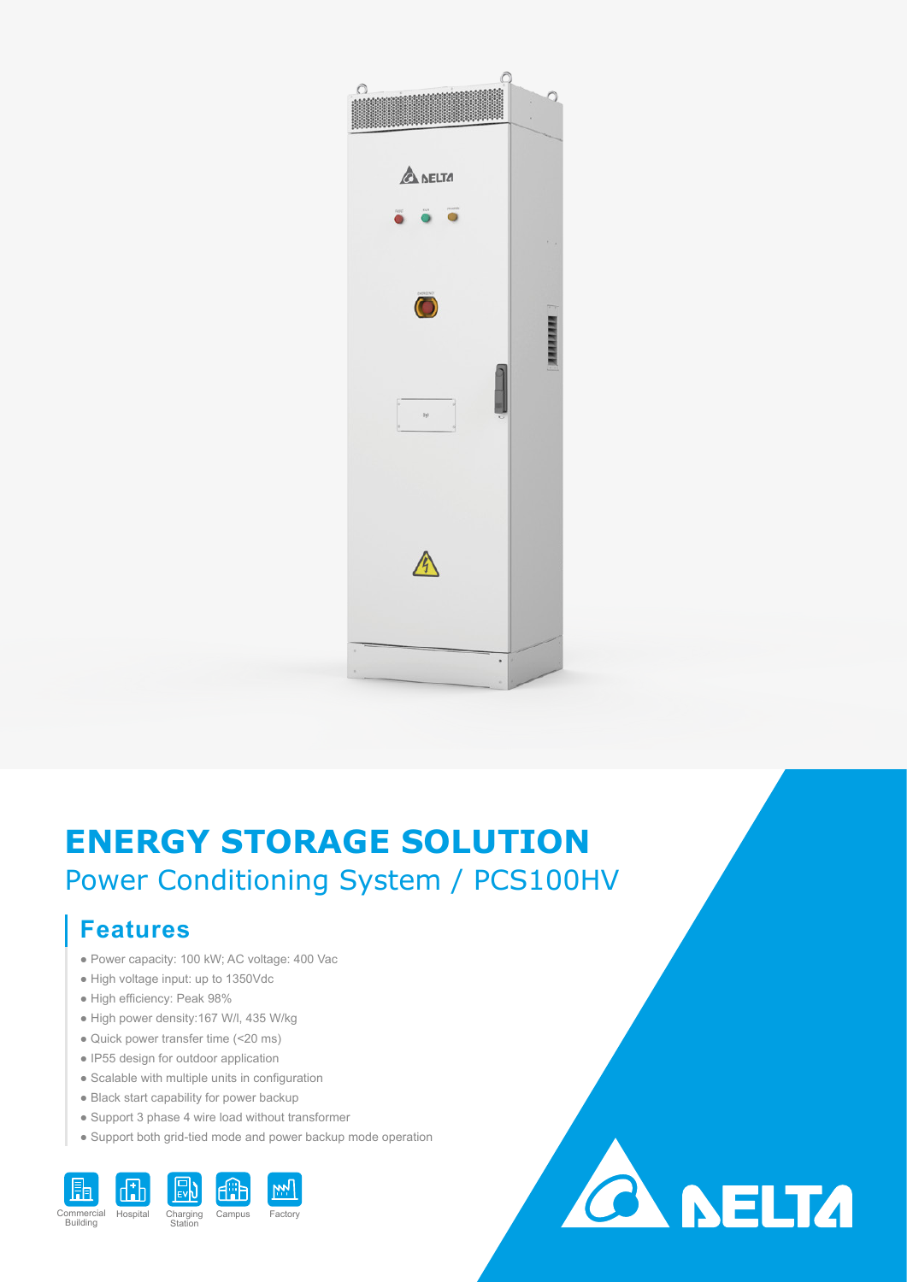

# **ENERGY STORAGE SOLUTION** Power Conditioning System / PCS100HV

### **Features**

- Power capacity: 100 kW; AC voltage: 400 Vac
- High voltage input: up to 1350Vdc
- High efficiency: Peak 98%
- High power density:167 W/l, 435 W/kg
- Quick power transfer time (<20 ms)
- IP55 design for outdoor application
- Scalable with multiple units in configuration
- Black start capability for power backup
- Support 3 phase 4 wire load without transformer
- Support both grid-tied mode and power backup mode operation



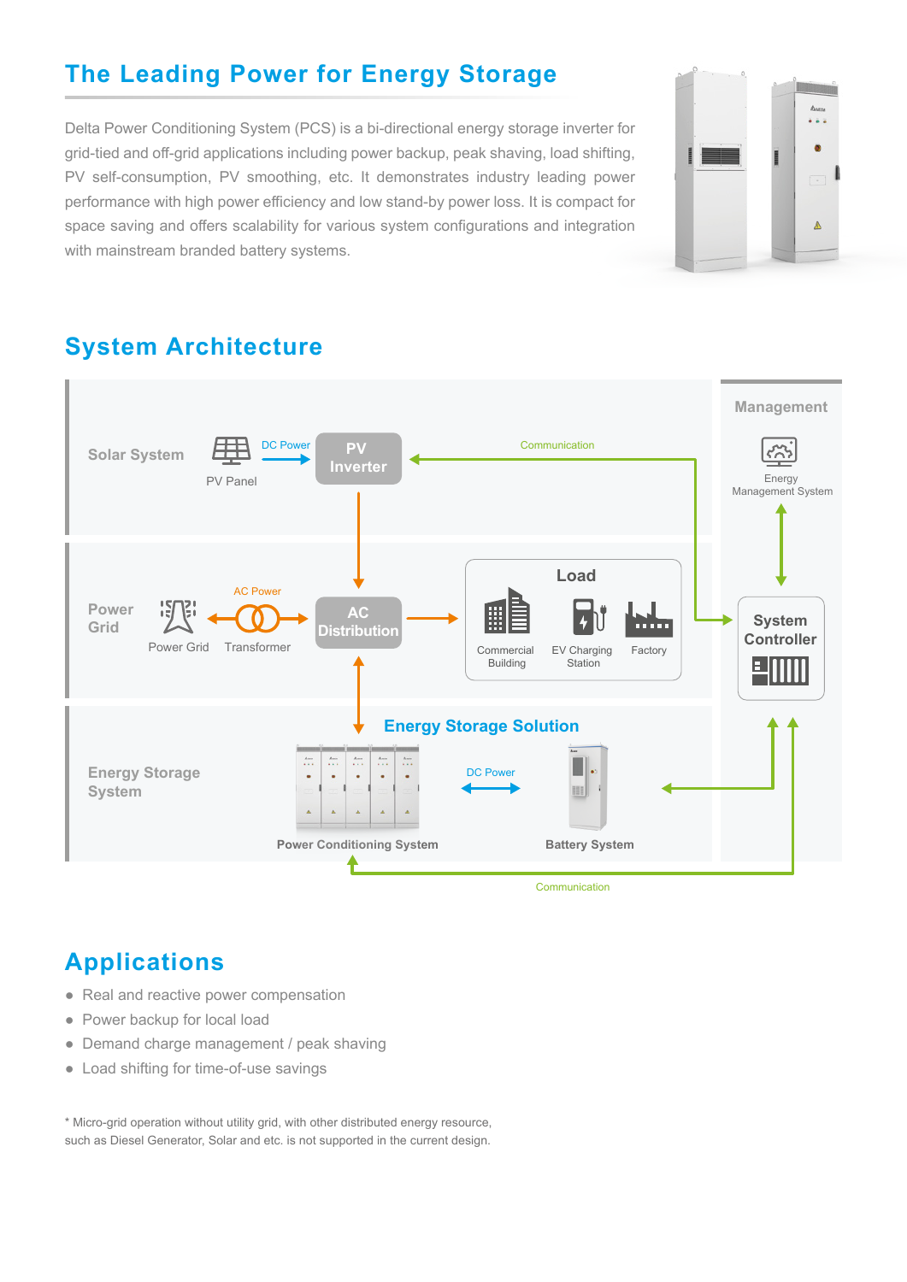### **The Leading Power for Energy Storage**

Delta Power Conditioning System (PCS) is a bi-directional energy storage inverter for grid-tied and off-grid applications including power backup, peak shaving, load shifting, PV self-consumption, PV smoothing, etc. It demonstrates industry leading power performance with high power efficiency and low stand-by power loss. It is compact for space saving and offers scalability for various system configurations and integration with mainstream branded battery systems.



### **System Architecture**



#### **Applications**

- Real and reactive power compensation
- Power backup for local load
- Demand charge management / peak shaving
- Load shifting for time-of-use savings

\* Micro-grid operation without utility grid, with other distributed energy resource, such as Diesel Generator, Solar and etc. is not supported in the current design.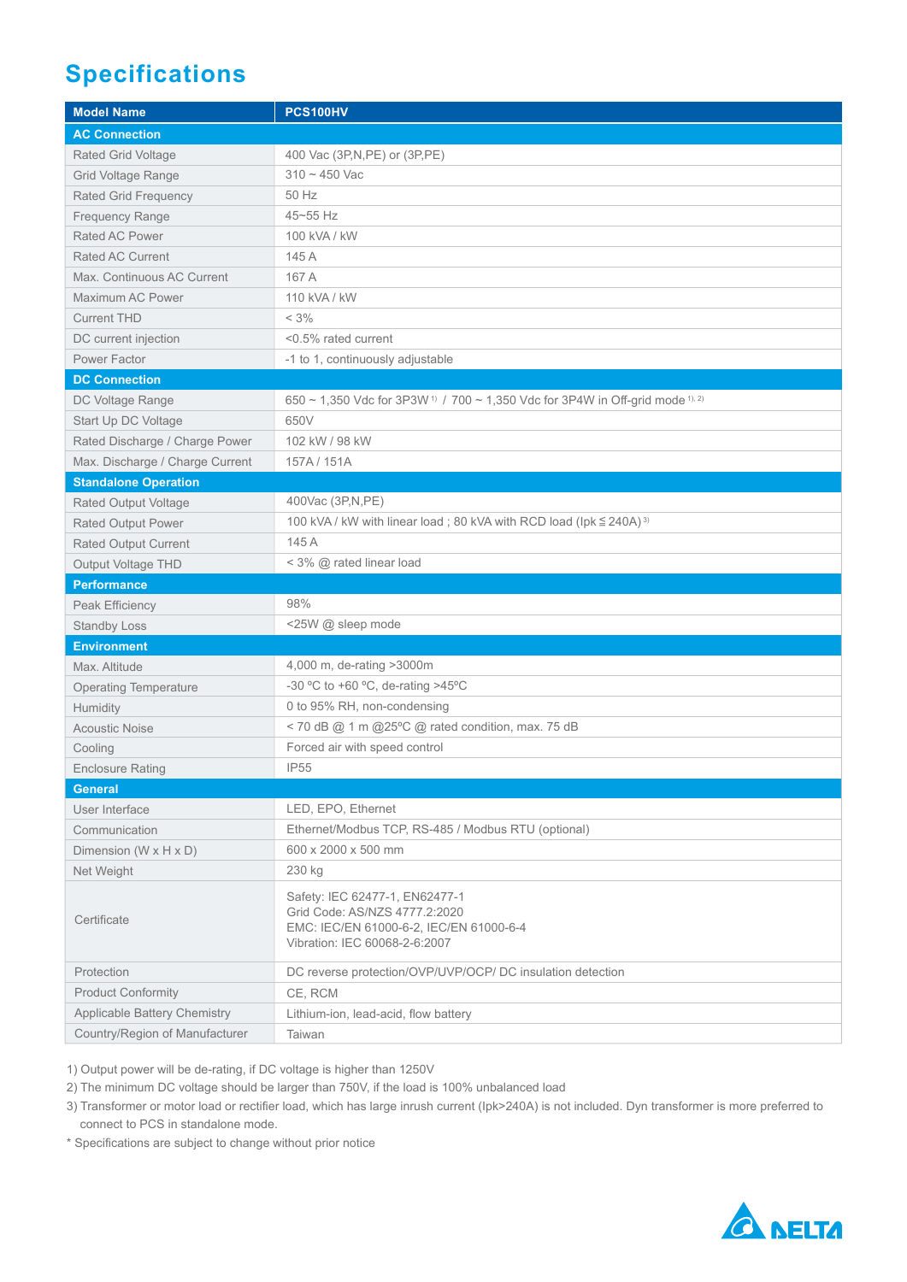## **Specifications**

| <b>Model Name</b>               | <b>PCS100HV</b>                                                                                                                             |
|---------------------------------|---------------------------------------------------------------------------------------------------------------------------------------------|
| <b>AC Connection</b>            |                                                                                                                                             |
| Rated Grid Voltage              | 400 Vac (3P, N, PE) or (3P, PE)                                                                                                             |
| Grid Voltage Range              | $310 - 450$ Vac                                                                                                                             |
| <b>Rated Grid Frequency</b>     | 50 Hz                                                                                                                                       |
| <b>Frequency Range</b>          | 45~55 Hz                                                                                                                                    |
| Rated AC Power                  | 100 kVA / kW                                                                                                                                |
| <b>Rated AC Current</b>         | 145 A                                                                                                                                       |
| Max. Continuous AC Current      | 167 A                                                                                                                                       |
| Maximum AC Power                | 110 kVA / kW                                                                                                                                |
| <b>Current THD</b>              | $< 3\%$                                                                                                                                     |
| DC current injection            | <0.5% rated current                                                                                                                         |
| Power Factor                    | -1 to 1, continuously adjustable                                                                                                            |
| <b>DC Connection</b>            |                                                                                                                                             |
| DC Voltage Range                | 650 ~ 1,350 Vdc for 3P3W <sup>1)</sup> / 700 ~ 1,350 Vdc for 3P4W in Off-grid mode <sup>1), 2)</sup>                                        |
| Start Up DC Voltage             | 650V                                                                                                                                        |
| Rated Discharge / Charge Power  | 102 kW / 98 kW                                                                                                                              |
| Max. Discharge / Charge Current | 157A/151A                                                                                                                                   |
| <b>Standalone Operation</b>     |                                                                                                                                             |
| <b>Rated Output Voltage</b>     | 400Vac (3P, N, PE)                                                                                                                          |
| <b>Rated Output Power</b>       | 100 kVA / kW with linear load; 80 kVA with RCD load (lpk $\leq$ 240A) <sup>3)</sup>                                                         |
| <b>Rated Output Current</b>     | 145 A                                                                                                                                       |
| Output Voltage THD              | < 3% @ rated linear load                                                                                                                    |
| <b>Performance</b>              |                                                                                                                                             |
| Peak Efficiency                 | 98%                                                                                                                                         |
| <b>Standby Loss</b>             | <25W @ sleep mode                                                                                                                           |
| <b>Environment</b>              |                                                                                                                                             |
| Max. Altitude                   | 4,000 m, de-rating >3000m                                                                                                                   |
| <b>Operating Temperature</b>    | -30 °C to +60 °C, de-rating >45°C                                                                                                           |
| Humidity                        | 0 to 95% RH, non-condensing                                                                                                                 |
| <b>Acoustic Noise</b>           | < 70 dB @ 1 m @25°C @ rated condition, max. 75 dB                                                                                           |
| Cooling                         | Forced air with speed control                                                                                                               |
| <b>Enclosure Rating</b>         | <b>IP55</b>                                                                                                                                 |
| <b>General</b>                  |                                                                                                                                             |
| User Interface                  | LED, EPO, Ethernet                                                                                                                          |
| Communication                   | Ethernet/Modbus TCP, RS-485 / Modbus RTU (optional)                                                                                         |
| Dimension (W x H x D)           | 600 x 2000 x 500 mm                                                                                                                         |
| Net Weight                      | 230 kg                                                                                                                                      |
| Certificate                     | Safety: IEC 62477-1, EN62477-1<br>Grid Code: AS/NZS 4777.2:2020<br>EMC: IEC/EN 61000-6-2, IEC/EN 61000-6-4<br>Vibration: IEC 60068-2-6:2007 |
| Protection                      | DC reverse protection/OVP/UVP/OCP/ DC insulation detection                                                                                  |
| <b>Product Conformity</b>       | CE, RCM                                                                                                                                     |
| Applicable Battery Chemistry    | Lithium-ion, lead-acid, flow battery                                                                                                        |
| Country/Region of Manufacturer  | Taiwan                                                                                                                                      |

1) Output power will be de-rating, if DC voltage is higher than 1250V

2) The minimum DC voltage should be larger than 750V, if the load is 100% unbalanced load

3) Transformer or motor load or rectifier load, which has large inrush current (Ipk>240A) is not included. Dyn transformer is more preferred to connect to PCS in standalone mode.

\* Specifications are subject to change without prior notice